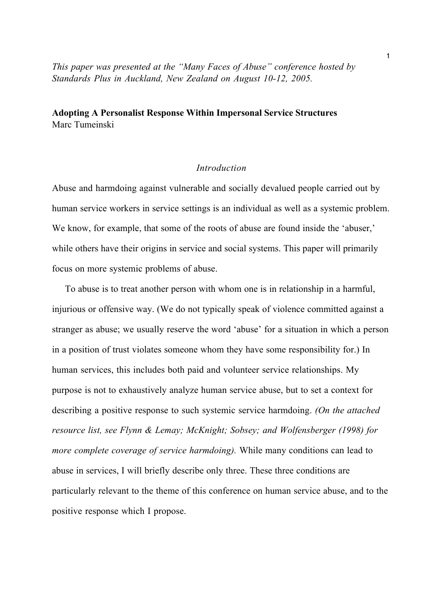*This paper was presented at the "Many Faces of Abuse" conference hosted by Standards Plus in Auckland, New Zealand on August 10-12, 2005.*

## **Adopting A Personalist Response Within Impersonal Service Structures** Marc Tumeinski

## *Introduction*

Abuse and harmdoing against vulnerable and socially devalued people carried out by human service workers in service settings is an individual as well as a systemic problem. We know, for example, that some of the roots of abuse are found inside the 'abuser,' while others have their origins in service and social systems. This paper will primarily focus on more systemic problems of abuse.

To abuse is to treat another person with whom one is in relationship in a harmful, injurious or offensive way. (We do not typically speak of violence committed against a stranger as abuse; we usually reserve the word 'abuse' for a situation in which a person in a position of trust violates someone whom they have some responsibility for.) In human services, this includes both paid and volunteer service relationships. My purpose is not to exhaustively analyze human service abuse, but to set a context for describing a positive response to such systemic service harmdoing. *(On the attached resource list, see Flynn & Lemay; McKnight; Sobsey; and Wolfensberger (1998) for more complete coverage of service harmdoing).* While many conditions can lead to abuse in services, I will briefly describe only three. These three conditions are particularly relevant to the theme of this conference on human service abuse, and to the positive response which I propose.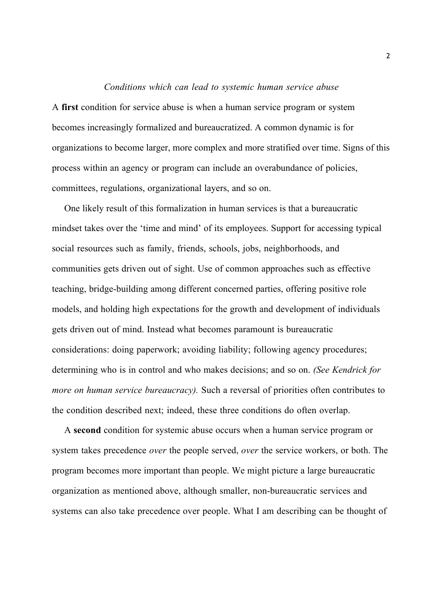### *Conditions which can lead to systemic human service abuse*

A **first** condition for service abuse is when a human service program or system becomes increasingly formalized and bureaucratized. A common dynamic is for organizations to become larger, more complex and more stratified over time. Signs of this process within an agency or program can include an overabundance of policies, committees, regulations, organizational layers, and so on.

One likely result of this formalization in human services is that a bureaucratic mindset takes over the 'time and mind' of its employees. Support for accessing typical social resources such as family, friends, schools, jobs, neighborhoods, and communities gets driven out of sight. Use of common approaches such as effective teaching, bridge-building among different concerned parties, offering positive role models, and holding high expectations for the growth and development of individuals gets driven out of mind. Instead what becomes paramount is bureaucratic considerations: doing paperwork; avoiding liability; following agency procedures; determining who is in control and who makes decisions; and so on. *(See Kendrick for more on human service bureaucracy*). Such a reversal of priorities often contributes to the condition described next; indeed, these three conditions do often overlap.

A **second** condition for systemic abuse occurs when a human service program or system takes precedence *over* the people served, *over* the service workers, or both. The program becomes more important than people. We might picture a large bureaucratic organization as mentioned above, although smaller, non-bureaucratic services and systems can also take precedence over people. What I am describing can be thought of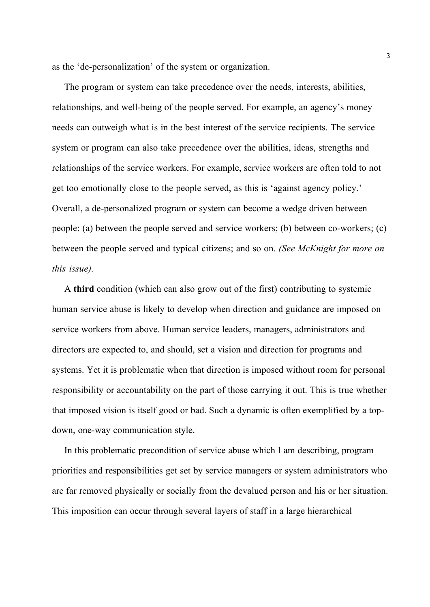as the 'de-personalization' of the system or organization.

The program or system can take precedence over the needs, interests, abilities, relationships, and well-being of the people served. For example, an agency's money needs can outweigh what is in the best interest of the service recipients. The service system or program can also take precedence over the abilities, ideas, strengths and relationships of the service workers. For example, service workers are often told to not get too emotionally close to the people served, as this is 'against agency policy.' Overall, a de-personalized program or system can become a wedge driven between people: (a) between the people served and service workers; (b) between co-workers; (c) between the people served and typical citizens; and so on. *(See McKnight for more on this issue).*

A **third** condition (which can also grow out of the first) contributing to systemic human service abuse is likely to develop when direction and guidance are imposed on service workers from above. Human service leaders, managers, administrators and directors are expected to, and should, set a vision and direction for programs and systems. Yet it is problematic when that direction is imposed without room for personal responsibility or accountability on the part of those carrying it out. This is true whether that imposed vision is itself good or bad. Such a dynamic is often exemplified by a topdown, one-way communication style.

In this problematic precondition of service abuse which I am describing, program priorities and responsibilities get set by service managers or system administrators who are far removed physically or socially from the devalued person and his or her situation. This imposition can occur through several layers of staff in a large hierarchical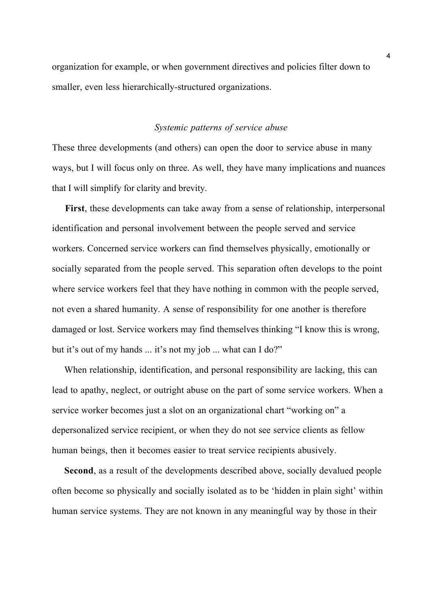organization for example, or when government directives and policies filter down to smaller, even less hierarchically-structured organizations.

### *Systemic patterns of service abuse*

These three developments (and others) can open the door to service abuse in many ways, but I will focus only on three. As well, they have many implications and nuances that I will simplify for clarity and brevity.

**First**, these developments can take away from a sense of relationship, interpersonal identification and personal involvement between the people served and service workers. Concerned service workers can find themselves physically, emotionally or socially separated from the people served. This separation often develops to the point where service workers feel that they have nothing in common with the people served, not even a shared humanity. A sense of responsibility for one another is therefore damaged or lost. Service workers may find themselves thinking "I know this is wrong, but it's out of my hands ... it's not my job ... what can I do?"

When relationship, identification, and personal responsibility are lacking, this can lead to apathy, neglect, or outright abuse on the part of some service workers. When a service worker becomes just a slot on an organizational chart "working on" a depersonalized service recipient, or when they do not see service clients as fellow human beings, then it becomes easier to treat service recipients abusively.

**Second**, as a result of the developments described above, socially devalued people often become so physically and socially isolated as to be 'hidden in plain sight' within human service systems. They are not known in any meaningful way by those in their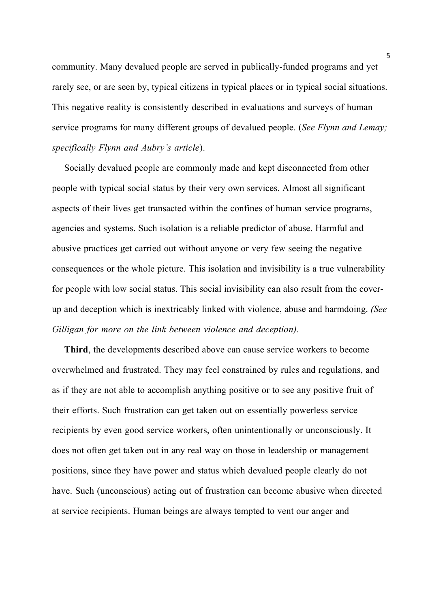community. Many devalued people are served in publically-funded programs and yet rarely see, or are seen by, typical citizens in typical places or in typical social situations. This negative reality is consistently described in evaluations and surveys of human service programs for many different groups of devalued people. (*See Flynn and Lemay; specifically Flynn and Aubry's article*).

Socially devalued people are commonly made and kept disconnected from other people with typical social status by their very own services. Almost all significant aspects of their lives get transacted within the confines of human service programs, agencies and systems. Such isolation is a reliable predictor of abuse. Harmful and abusive practices get carried out without anyone or very few seeing the negative consequences or the whole picture. This isolation and invisibility is a true vulnerability for people with low social status. This social invisibility can also result from the coverup and deception which is inextricably linked with violence, abuse and harmdoing. *(See Gilligan for more on the link between violence and deception).*

**Third**, the developments described above can cause service workers to become overwhelmed and frustrated. They may feel constrained by rules and regulations, and as if they are not able to accomplish anything positive or to see any positive fruit of their efforts. Such frustration can get taken out on essentially powerless service recipients by even good service workers, often unintentionally or unconsciously. It does not often get taken out in any real way on those in leadership or management positions, since they have power and status which devalued people clearly do not have. Such (unconscious) acting out of frustration can become abusive when directed at service recipients. Human beings are always tempted to vent our anger and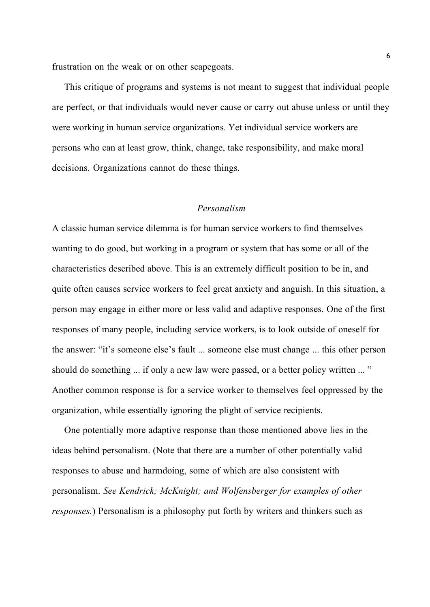frustration on the weak or on other scapegoats.

This critique of programs and systems is not meant to suggest that individual people are perfect, or that individuals would never cause or carry out abuse unless or until they were working in human service organizations. Yet individual service workers are persons who can at least grow, think, change, take responsibility, and make moral decisions. Organizations cannot do these things.

#### *Personalism*

A classic human service dilemma is for human service workers to find themselves wanting to do good, but working in a program or system that has some or all of the characteristics described above. This is an extremely difficult position to be in, and quite often causes service workers to feel great anxiety and anguish. In this situation, a person may engage in either more or less valid and adaptive responses. One of the first responses of many people, including service workers, is to look outside of oneself for the answer: "it's someone else's fault ... someone else must change ... this other person should do something ... if only a new law were passed, or a better policy written ... " Another common response is for a service worker to themselves feel oppressed by the organization, while essentially ignoring the plight of service recipients.

One potentially more adaptive response than those mentioned above lies in the ideas behind personalism. (Note that there are a number of other potentially valid responses to abuse and harmdoing, some of which are also consistent with personalism. *See Kendrick; McKnight; and Wolfensberger for examples of other responses.*) Personalism is a philosophy put forth by writers and thinkers such as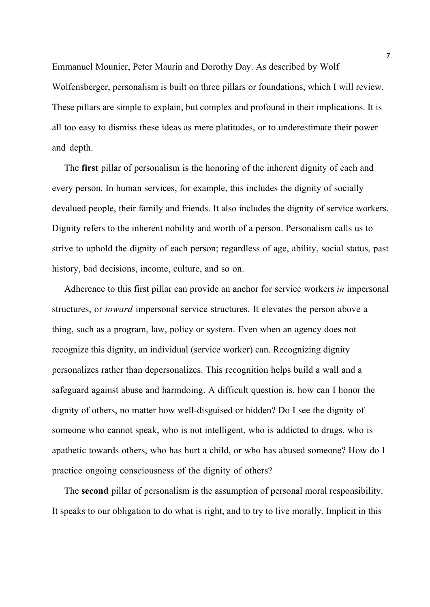Emmanuel Mounier, Peter Maurin and Dorothy Day. As described by Wolf Wolfensberger, personalism is built on three pillars or foundations, which I will review. These pillars are simple to explain, but complex and profound in their implications. It is all too easy to dismiss these ideas as mere platitudes, or to underestimate their power and depth.

The **first** pillar of personalism is the honoring of the inherent dignity of each and every person. In human services, for example, this includes the dignity of socially devalued people, their family and friends. It also includes the dignity of service workers. Dignity refers to the inherent nobility and worth of a person. Personalism calls us to strive to uphold the dignity of each person; regardless of age, ability, social status, past history, bad decisions, income, culture, and so on.

Adherence to this first pillar can provide an anchor for service workers *in* impersonal structures, or *toward* impersonal service structures. It elevates the person above a thing, such as a program, law, policy or system. Even when an agency does not recognize this dignity, an individual (service worker) can. Recognizing dignity personalizes rather than depersonalizes. This recognition helps build a wall and a safeguard against abuse and harmdoing. A difficult question is, how can I honor the dignity of others, no matter how well-disguised or hidden? Do I see the dignity of someone who cannot speak, who is not intelligent, who is addicted to drugs, who is apathetic towards others, who has hurt a child, or who has abused someone? How do I practice ongoing consciousness of the dignity of others?

The **second** pillar of personalism is the assumption of personal moral responsibility. It speaks to our obligation to do what is right, and to try to live morally. Implicit in this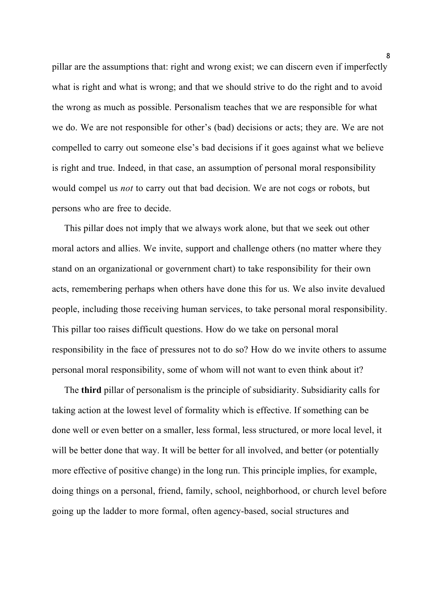pillar are the assumptions that: right and wrong exist; we can discern even if imperfectly what is right and what is wrong; and that we should strive to do the right and to avoid the wrong as much as possible. Personalism teaches that we are responsible for what we do. We are not responsible for other's (bad) decisions or acts; they are. We are not compelled to carry out someone else's bad decisions if it goes against what we believe is right and true. Indeed, in that case, an assumption of personal moral responsibility would compel us *not* to carry out that bad decision. We are not cogs or robots, but persons who are free to decide.

This pillar does not imply that we always work alone, but that we seek out other moral actors and allies. We invite, support and challenge others (no matter where they stand on an organizational or government chart) to take responsibility for their own acts, remembering perhaps when others have done this for us. We also invite devalued people, including those receiving human services, to take personal moral responsibility. This pillar too raises difficult questions. How do we take on personal moral responsibility in the face of pressures not to do so? How do we invite others to assume personal moral responsibility, some of whom will not want to even think about it?

The **third** pillar of personalism is the principle of subsidiarity. Subsidiarity calls for taking action at the lowest level of formality which is effective. If something can be done well or even better on a smaller, less formal, less structured, or more local level, it will be better done that way. It will be better for all involved, and better (or potentially more effective of positive change) in the long run. This principle implies, for example, doing things on a personal, friend, family, school, neighborhood, or church level before going up the ladder to more formal, often agency-based, social structures and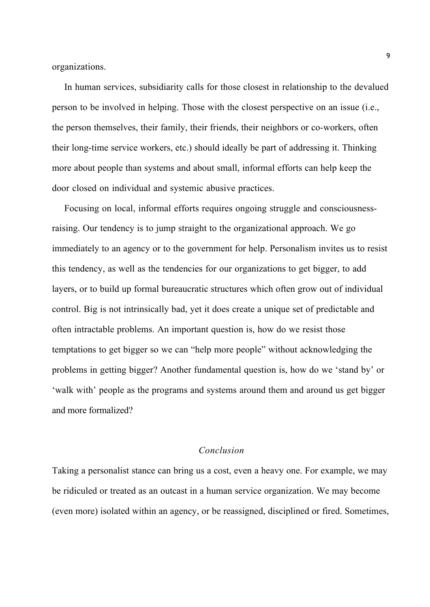organizations.

In human services, subsidiarity calls for those closest in relationship to the devalued person to be involved in helping. Those with the closest perspective on an issue (i.e., the person themselves, their family, their friends, their neighbors or co-workers, often their long-time service workers, etc.) should ideally be part of addressing it. Thinking more about people than systems and about small, informal efforts can help keep the door closed on individual and systemic abusive practices.

Focusing on local, informal efforts requires ongoing struggle and consciousnessraising. Our tendency is to jump straight to the organizational approach. We go immediately to an agency or to the government for help. Personalism invites us to resist this tendency, as well as the tendencies for our organizations to get bigger, to add layers, or to build up formal bureaucratic structures which often grow out of individual control. Big is not intrinsically bad, yet it does create a unique set of predictable and often intractable problems. An important question is, how do we resist those temptations to get bigger so we can "help more people" without acknowledging the problems in getting bigger? Another fundamental question is, how do we 'stand by' or 'walk with' people as the programs and systems around them and around us get bigger and more formalized?

## *Conclusion*

Taking a personalist stance can bring us a cost, even a heavy one. For example, we may be ridiculed or treated as an outcast in a human service organization. We may become (even more) isolated within an agency, or be reassigned, disciplined or fired. Sometimes,

9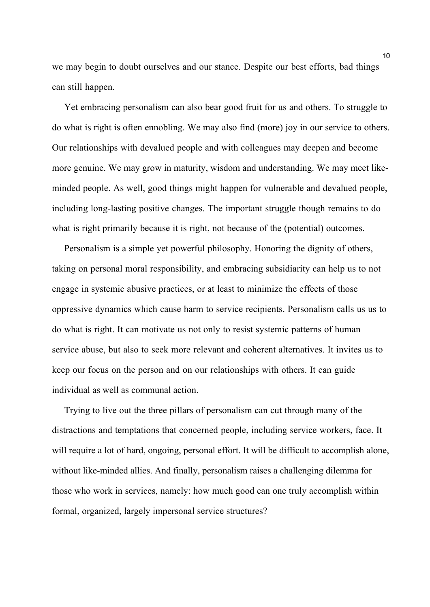we may begin to doubt ourselves and our stance. Despite our best efforts, bad things can still happen.

Yet embracing personalism can also bear good fruit for us and others. To struggle to do what is right is often ennobling. We may also find (more) joy in our service to others. Our relationships with devalued people and with colleagues may deepen and become more genuine. We may grow in maturity, wisdom and understanding. We may meet likeminded people. As well, good things might happen for vulnerable and devalued people, including long-lasting positive changes. The important struggle though remains to do what is right primarily because it is right, not because of the (potential) outcomes.

Personalism is a simple yet powerful philosophy. Honoring the dignity of others, taking on personal moral responsibility, and embracing subsidiarity can help us to not engage in systemic abusive practices, or at least to minimize the effects of those oppressive dynamics which cause harm to service recipients. Personalism calls us us to do what is right. It can motivate us not only to resist systemic patterns of human service abuse, but also to seek more relevant and coherent alternatives. It invites us to keep our focus on the person and on our relationships with others. It can guide individual as well as communal action.

Trying to live out the three pillars of personalism can cut through many of the distractions and temptations that concerned people, including service workers, face. It will require a lot of hard, ongoing, personal effort. It will be difficult to accomplish alone, without like-minded allies. And finally, personalism raises a challenging dilemma for those who work in services, namely: how much good can one truly accomplish within formal, organized, largely impersonal service structures?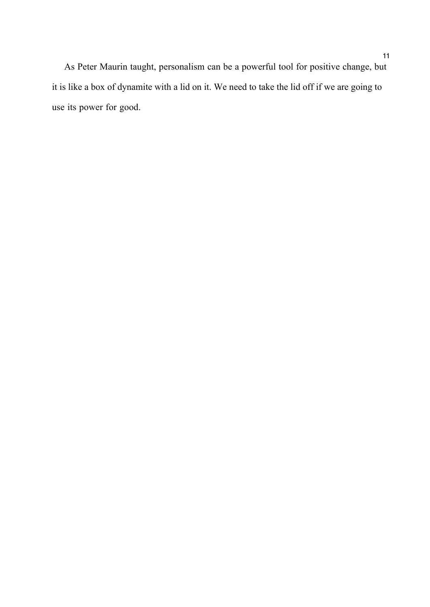As Peter Maurin taught, personalism can be a powerful tool for positive change, but it is like a box of dynamite with a lid on it. We need to take the lid off if we are going to use its power for good.